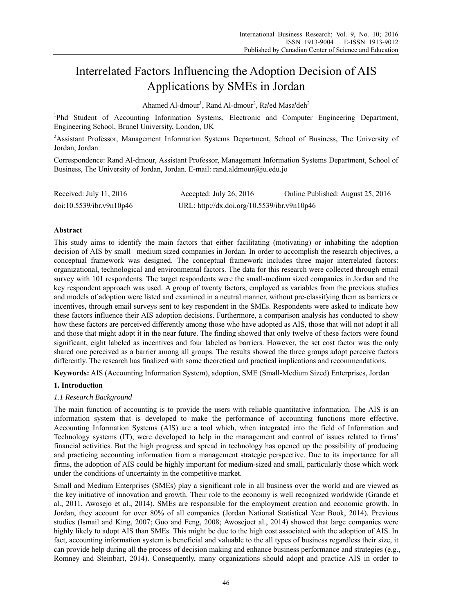# Interrelated Factors Influencing the Adoption Decision of AIS Applications by SMEs in Jordan

Ahamed Al-dmour<sup>1</sup>, Rand Al-dmour<sup>2</sup>, Ra'ed Masa'deh<sup>2</sup>

<sup>1</sup>Phd Student of Accounting Information Systems, Electronic and Computer Engineering Department, Engineering School, Brunel University, London, UK

<sup>2</sup>Assistant Professor, Management Information Systems Department, School of Business, The University of Jordan, Jordan

Correspondence: Rand Al-dmour, Assistant Professor, Management Information Systems Department, School of Business, The University of Jordan, Jordan. E-mail: rand.aldmour@ju.edu.jo

| Received: July 11, 2016  | Accepted: July 26, 2016                     | Online Published: August 25, 2016 |
|--------------------------|---------------------------------------------|-----------------------------------|
| doi:10.5539/ibr.v9n10p46 | URL: http://dx.doi.org/10.5539/ibr.v9n10p46 |                                   |

# **Abstract**

This study aims to identify the main factors that either facilitating (motivating) or inhabiting the adoption decision of AIS by small –medium sized companies in Jordan. In order to accomplish the research objectives, a conceptual framework was designed. The conceptual framework includes three major interrelated factors: organizational, technological and environmental factors. The data for this research were collected through email survey with 101 respondents. The target respondents were the small-medium sized companies in Jordan and the key respondent approach was used. A group of twenty factors, employed as variables from the previous studies and models of adoption were listed and examined in a neutral manner, without pre-classifying them as barriers or incentives, through email surveys sent to key respondent in the SMEs. Respondents were asked to indicate how these factors influence their AIS adoption decisions. Furthermore, a comparison analysis has conducted to show how these factors are perceived differently among those who have adopted as AIS, those that will not adopt it all and those that might adopt it in the near future. The finding showed that only twelve of these factors were found significant, eight labeled as incentives and four labeled as barriers. However, the set cost factor was the only shared one perceived as a barrier among all groups. The results showed the three groups adopt perceive factors differently. The research has finalized with some theoretical and practical implications and recommendations.

**Keywords:** AIS (Accounting Information System), adoption, SME (Small-Medium Sized) Enterprises, Jordan

# **1. Introduction**

# *1.1 Research Background*

The main function of accounting is to provide the users with reliable quantitative information. The AIS is an information system that is developed to make the performance of accounting functions more effective. Accounting Information Systems (AIS) are a tool which, when integrated into the field of Information and Technology systems (IT), were developed to help in the management and control of issues related to firms' financial activities. But the high progress and spread in technology has opened up the possibility of producing and practicing accounting information from a management strategic perspective. Due to its importance for all firms, the adoption of AIS could be highly important for medium-sized and small, particularly those which work under the conditions of uncertainty in the competitive market.

Small and Medium Enterprises (SMEs) play a significant role in all business over the world and are viewed as the key initiative of innovation and growth. Their role to the economy is well recognized worldwide (Grande et al., 2011, Awosejo et al., 2014). SMEs are responsible for the employment creation and economic growth. In Jordan, they account for over 80% of all companies (Jordan National Statistical Year Book, 2014). Previous studies (Ismail and King, 2007; Guo and Feng, 2008; Awosejoet al., 2014) showed that large companies were highly likely to adopt AIS than SMEs. This might be due to the high cost associated with the adoption of AIS. In fact, accounting information system is beneficial and valuable to the all types of business regardless their size, it can provide help during all the process of decision making and enhance business performance and strategies (e.g., Romney and Steinbart, 2014). Consequently, many organizations should adopt and practice AIS in order to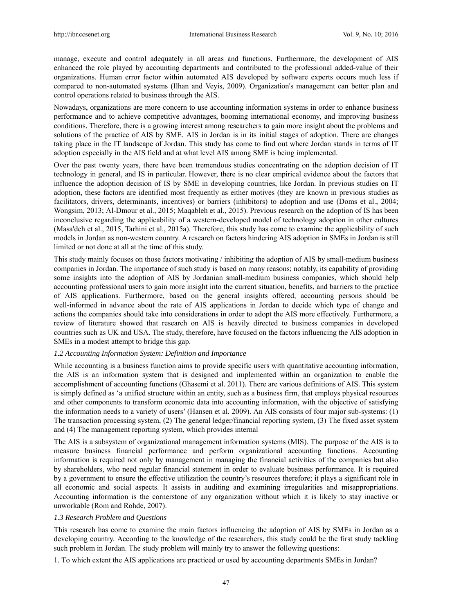manage, execute and control adequately in all areas and functions. Furthermore, the development of AIS enhanced the role played by accounting departments and contributed to the professional added-value of their organizations. Human error factor within automated AIS developed by software experts occurs much less if compared to non-automated systems (Ilhan and Veyis, 2009). Organization's management can better plan and control operations related to business through the AIS.

Nowadays, organizations are more concern to use accounting information systems in order to enhance business performance and to achieve competitive advantages, booming international economy, and improving business conditions. Therefore, there is a growing interest among researchers to gain more insight about the problems and solutions of the practice of AIS by SME. AIS in Jordan is in its initial stages of adoption. There are changes taking place in the IT landscape of Jordan. This study has come to find out where Jordan stands in terms of IT adoption especially in the AIS field and at what level AIS among SME is being implemented.

Over the past twenty years, there have been tremendous studies concentrating on the adoption decision of IT technology in general, and IS in particular. However, there is no clear empirical evidence about the factors that influence the adoption decision of IS by SME in developing countries, like Jordan. In previous studies on IT adoption, these factors are identified most frequently as either motives (they are known in previous studies as facilitators, drivers, determinants, incentives) or barriers (inhibitors) to adoption and use (Doms et al., 2004; Wongsim, 2013; Al-Dmour et al., 2015; Maqableh et al., 2015). Previous research on the adoption of IS has been inconclusive regarding the applicability of a western-developed model of technology adoption in other cultures (Masa'deh et al., 2015, Tarhini et al., 2015a). Therefore, this study has come to examine the applicability of such models in Jordan as non-western country. A research on factors hindering AIS adoption in SMEs in Jordan is still limited or not done at all at the time of this study.

This study mainly focuses on those factors motivating / inhibiting the adoption of AIS by small-medium business companies in Jordan. The importance of such study is based on many reasons; notably, its capability of providing some insights into the adoption of AIS by Jordanian small-medium business companies, which should help accounting professional users to gain more insight into the current situation, benefits, and barriers to the practice of AIS applications. Furthermore, based on the general insights offered, accounting persons should be well-informed in advance about the rate of AIS applications in Jordan to decide which type of change and actions the companies should take into considerations in order to adopt the AIS more effectively. Furthermore, a review of literature showed that research on AIS is heavily directed to business companies in developed countries such as UK and USA. The study, therefore, have focused on the factors influencing the AIS adoption in SMEs in a modest attempt to bridge this gap.

## *1.2 Accounting Information System: Definition and Importance*

While accounting is a business function aims to provide specific users with quantitative accounting information, the AIS is an information system that is designed and implemented within an organization to enable the accomplishment of accounting functions (Ghasemi et al. 2011). There are various definitions of AIS. This system is simply defined as 'a unified structure within an entity, such as a business firm, that employs physical resources and other components to transform economic data into accounting information, with the objective of satisfying the information needs to a variety of users' (Hansen et al. 2009). An AIS consists of four major sub-systems: (1) The transaction processing system, (2) The general ledger/financial reporting system, (3) The fixed asset system and (4) The management reporting system, which provides internal

The AIS is a subsystem of organizational management information systems (MIS). The purpose of the AIS is to measure business financial performance and perform organizational accounting functions. Accounting information is required not only by management in managing the financial activities of the companies but also by shareholders, who need regular financial statement in order to evaluate business performance. It is required by a government to ensure the effective utilization the country's resources therefore; it plays a significant role in all economic and social aspects. It assists in auditing and examining irregularities and misappropriations. Accounting information is the cornerstone of any organization without which it is likely to stay inactive or unworkable (Rom and Rohde, 2007).

## *1.3 Research Problem and Questions*

This research has come to examine the main factors influencing the adoption of AIS by SMEs in Jordan as a developing country. According to the knowledge of the researchers, this study could be the first study tackling such problem in Jordan. The study problem will mainly try to answer the following questions:

1. To which extent the AIS applications are practiced or used by accounting departments SMEs in Jordan?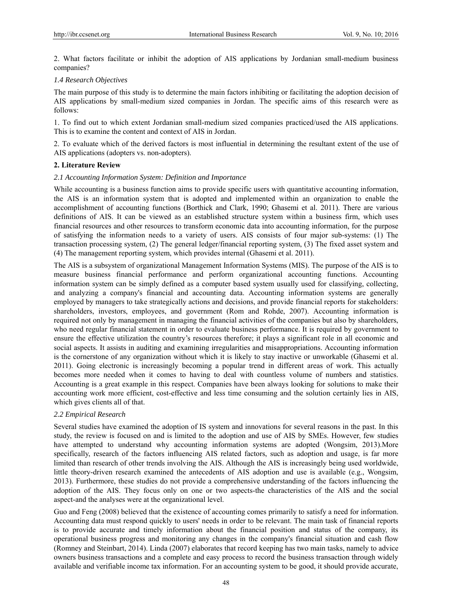2. What factors facilitate or inhibit the adoption of AIS applications by Jordanian small-medium business companies?

# *1.4 Research Objectives*

The main purpose of this study is to determine the main factors inhibiting or facilitating the adoption decision of AIS applications by small-medium sized companies in Jordan. The specific aims of this research were as follows:

1. To find out to which extent Jordanian small-medium sized companies practiced/used the AIS applications. This is to examine the content and context of AIS in Jordan.

2. To evaluate which of the derived factors is most influential in determining the resultant extent of the use of AIS applications (adopters vs. non-adopters).

# **2. Literature Review**

# *2.1 Accounting Information System: Definition and Importance*

While accounting is a business function aims to provide specific users with quantitative accounting information, the AIS is an information system that is adopted and implemented within an organization to enable the accomplishment of accounting functions (Borthick and Clark, 1990; Ghasemi et al. 2011). There are various definitions of AIS. It can be viewed as an established structure system within a business firm, which uses financial resources and other resources to transform economic data into accounting information, for the purpose of satisfying the information needs to a variety of users. AIS consists of four major sub-systems: (1) The transaction processing system, (2) The general ledger/financial reporting system, (3) The fixed asset system and (4) The management reporting system, which provides internal (Ghasemi et al. 2011).

The AIS is a subsystem of organizational Management Information Systems (MIS). The purpose of the AIS is to measure business financial performance and perform organizational accounting functions. Accounting information system can be simply defined as a computer based system usually used for classifying, collecting, and analyzing a company's financial and accounting data. Accounting information systems are generally employed by managers to take strategically actions and decisions, and provide financial reports for stakeholders: shareholders, investors, employees, and government (Rom and Rohde, 2007). Accounting information is required not only by management in managing the financial activities of the companies but also by shareholders, who need regular financial statement in order to evaluate business performance. It is required by government to ensure the effective utilization the country's resources therefore; it plays a significant role in all economic and social aspects. It assists in auditing and examining irregularities and misappropriations. Accounting information is the cornerstone of any organization without which it is likely to stay inactive or unworkable (Ghasemi et al. 2011). Going electronic is increasingly becoming a popular trend in different areas of work. This actually becomes more needed when it comes to having to deal with countless volume of numbers and statistics. Accounting is a great example in this respect. Companies have been always looking for solutions to make their accounting work more efficient, cost-effective and less time consuming and the solution certainly lies in AIS, which gives clients all of that.

# *2.2 Empirical Research*

Several studies have examined the adoption of IS system and innovations for several reasons in the past. In this study, the review is focused on and is limited to the adoption and use of AIS by SMEs. However, few studies have attempted to understand why accounting information systems are adopted (Wongsim, 2013).More specifically, research of the factors influencing AIS related factors, such as adoption and usage, is far more limited than research of other trends involving the AIS. Although the AIS is increasingly being used worldwide, little theory-driven research examined the antecedents of AIS adoption and use is available (e.g., Wongsim, 2013). Furthermore, these studies do not provide a comprehensive understanding of the factors influencing the adoption of the AIS. They focus only on one or two aspects-the characteristics of the AIS and the social aspect-and the analyses were at the organizational level.

Guo and Feng (2008) believed that the existence of accounting comes primarily to satisfy a need for information. Accounting data must respond quickly to users' needs in order to be relevant. The main task of financial reports is to provide accurate and timely information about the financial position and status of the company, its operational business progress and monitoring any changes in the company's financial situation and cash flow (Romney and Steinbart, 2014). Linda (2007) elaborates that record keeping has two main tasks, namely to advice owners business transactions and a complete and easy process to record the business transaction through widely available and verifiable income tax information. For an accounting system to be good, it should provide accurate,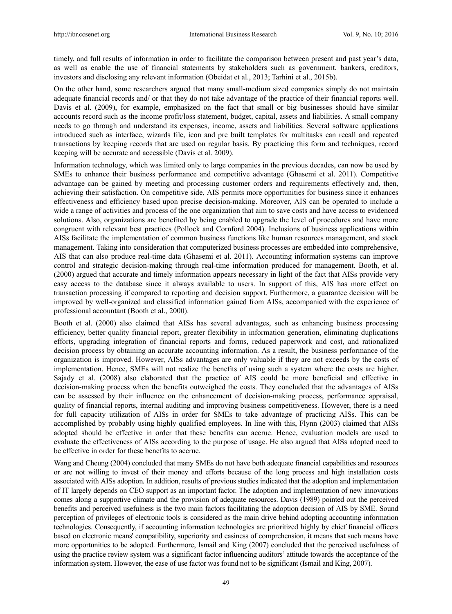timely, and full results of information in order to facilitate the comparison between present and past year's data, as well as enable the use of financial statements by stakeholders such as government, bankers, creditors, investors and disclosing any relevant information (Obeidat et al., 2013; Tarhini et al., 2015b).

On the other hand, some researchers argued that many small-medium sized companies simply do not maintain adequate financial records and/ or that they do not take advantage of the practice of their financial reports well. Davis et al. (2009), for example, emphasized on the fact that small or big businesses should have similar accounts record such as the income profit/loss statement, budget, capital, assets and liabilities. A small company needs to go through and understand its expenses, income, assets and liabilities. Several software applications introduced such as interface, wizards file, icon and pre built templates for multitasks can recall and repeated transactions by keeping records that are used on regular basis. By practicing this form and techniques, record keeping will be accurate and accessible (Davis et al. 2009).

Information technology, which was limited only to large companies in the previous decades, can now be used by SMEs to enhance their business performance and competitive advantage (Ghasemi et al. 2011). Competitive advantage can be gained by meeting and processing customer orders and requirements effectively and, then, achieving their satisfaction. On competitive side, AIS permits more opportunities for business since it enhances effectiveness and efficiency based upon precise decision-making. Moreover, AIS can be operated to include a wide a range of activities and process of the one organization that aim to save costs and have access to evidenced solutions. Also, organizations are benefited by being enabled to upgrade the level of procedures and have more congruent with relevant best practices (Pollock and Cornford 2004). Inclusions of business applications within AISs facilitate the implementation of common business functions like human resources management, and stock management. Taking into consideration that computerized business processes are embedded into comprehensive, AIS that can also produce real-time data (Ghasemi et al. 2011). Accounting information systems can improve control and strategic decision-making through real-time information produced for management. Booth, et al. (2000) argued that accurate and timely information appears necessary in light of the fact that AISs provide very easy access to the database since it always available to users. In support of this, AIS has more effect on transaction processing if compared to reporting and decision support. Furthermore, a guarantee decision will be improved by well-organized and classified information gained from AISs, accompanied with the experience of professional accountant (Booth et al., 2000).

Booth et al. (2000) also claimed that AISs has several advantages, such as enhancing business processing efficiency, better quality financial report, greater flexibility in information generation, eliminating duplications efforts, upgrading integration of financial reports and forms, reduced paperwork and cost, and rationalized decision process by obtaining an accurate accounting information. As a result, the business performance of the organization is improved. However, AISs advantages are only valuable if they are not exceeds by the costs of implementation. Hence, SMEs will not realize the benefits of using such a system where the costs are higher. Sajady et al. (2008) also elaborated that the practice of AIS could be more beneficial and effective in decision-making process when the benefits outweighed the costs. They concluded that the advantages of AISs can be assessed by their influence on the enhancement of decision-making process, performance appraisal, quality of financial reports, internal auditing and improving business competitiveness. However, there is a need for full capacity utilization of AISs in order for SMEs to take advantage of practicing AISs. This can be accomplished by probably using highly qualified employees. In line with this, Flynn (2003) claimed that AISs adopted should be effective in order that these benefits can accrue. Hence, evaluation models are used to evaluate the effectiveness of AISs according to the purpose of usage. He also argued that AISs adopted need to be effective in order for these benefits to accrue.

Wang and Cheung (2004) concluded that many SMEs do not have both adequate financial capabilities and resources or are not willing to invest of their money and efforts because of the long process and high installation costs associated with AISs adoption*.* In addition, results of previous studies indicated that the adoption and implementation of IT largely depends on CEO support as an important factor. The adoption and implementation of new innovations comes along a supportive climate and the provision of adequate resources. Davis (1989) pointed out the perceived benefits and perceived usefulness is the two main factors facilitating the adoption decision of AIS by SME. Sound perception of privileges of electronic tools is considered as the main drive behind adopting accounting information technologies. Consequently, if accounting information technologies are prioritized highly by chief financial officers based on electronic means' compatibility, superiority and easiness of comprehension, it means that such means have more opportunities to be adopted. Furthermore, Ismail and King (2007) concluded that the perceived usefulness of using the practice review system was a significant factor influencing auditors' attitude towards the acceptance of the information system. However, the ease of use factor was found not to be significant (Ismail and King, 2007).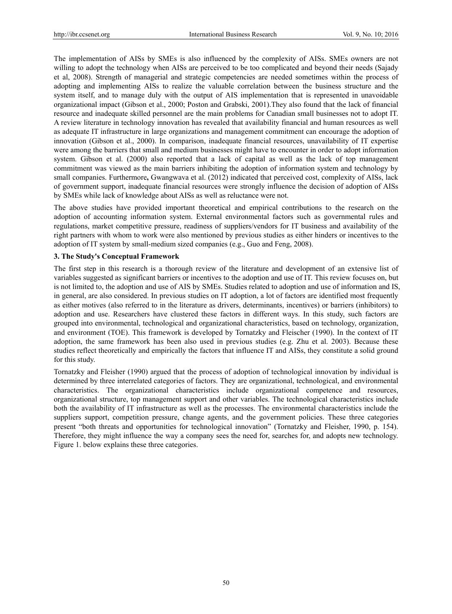The implementation of AISs by SMEs is also influenced by the complexity of AISs. SMEs owners are not willing to adopt the technology when AISs are perceived to be too complicated and beyond their needs (Sajady et al, 2008). Strength of managerial and strategic competencies are needed sometimes within the process of adopting and implementing AISs to realize the valuable correlation between the business structure and the system itself, and to manage duly with the output of AIS implementation that is represented in unavoidable organizational impact (Gibson et al., 2000; Poston and Grabski, 2001).They also found that the lack of financial resource and inadequate skilled personnel are the main problems for Canadian small businesses not to adopt IT. A review literature in technology innovation has revealed that availability financial and human resources as well as adequate IT infrastructure in large organizations and management commitment can encourage the adoption of innovation (Gibson et al., 2000). In comparison, inadequate financial resources, unavailability of IT expertise were among the barriers that small and medium businesses might have to encounter in order to adopt information system. Gibson et al. (2000) also reported that a lack of capital as well as the lack of top management commitment was viewed as the main barriers inhibiting the adoption of information system and technology by small companies. Furthermore**,** Gwangwava et al. (2012) indicated that perceived cost, complexity of AISs, lack of government support, inadequate financial resources were strongly influence the decision of adoption of AISs by SMEs while lack of knowledge about AISs as well as reluctance were not.

The above studies have provided important theoretical and empirical contributions to the research on the adoption of accounting information system. External environmental factors such as governmental rules and regulations, market competitive pressure, readiness of suppliers/vendors for IT business and availability of the right partners with whom to work were also mentioned by previous studies as either hinders or incentives to the adoption of IT system by small-medium sized companies (e.g., Guo and Feng, 2008).

# **3. The Study's Conceptual Framework**

The first step in this research is a thorough review of the literature and development of an extensive list of variables suggested as significant barriers or incentives to the adoption and use of IT. This review focuses on, but is not limited to, the adoption and use of AIS by SMEs. Studies related to adoption and use of information and IS, in general, are also considered. In previous studies on IT adoption, a lot of factors are identified most frequently as either motives (also referred to in the literature as drivers, determinants, incentives) or barriers (inhibitors) to adoption and use. Researchers have clustered these factors in different ways. In this study, such factors are grouped into environmental, technological and organizational characteristics, based on technology, organization, and environment (TOE). This framework is developed by Tornatzky and Fleischer (1990). In the context of IT adoption, the same framework has been also used in previous studies (e.g. Zhu et al. 2003). Because these studies reflect theoretically and empirically the factors that influence IT and AISs, they constitute a solid ground for this study.

Tornatzky and Fleisher (1990) argued that the process of adoption of technological innovation by individual is determined by three interrelated categories of factors. They are organizational, technological, and environmental characteristics. The organizational characteristics include organizational competence and resources, organizational structure, top management support and other variables. The technological characteristics include both the availability of IT infrastructure as well as the processes. The environmental characteristics include the suppliers support, competition pressure, change agents, and the government policies. These three categories present "both threats and opportunities for technological innovation" (Tornatzky and Fleisher, 1990, p. 154). Therefore, they might influence the way a company sees the need for, searches for, and adopts new technology. Figure 1. below explains these three categories.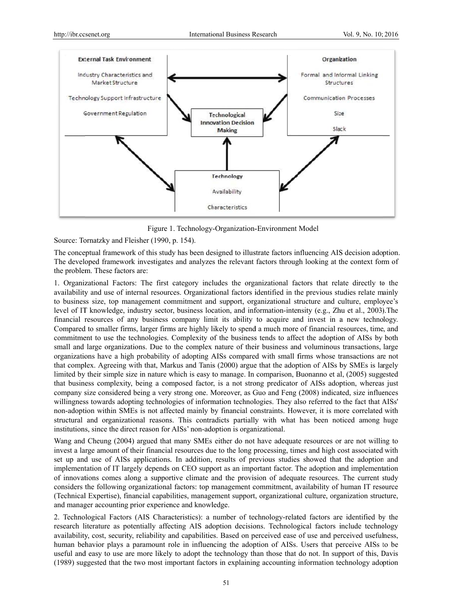

Figure 1. Technology-Organization-Environment Model

Source: Tornatzky and Fleisher (1990, p. 154).

The conceptual framework of this study has been designed to illustrate factors influencing AIS decision adoption. The developed framework investigates and analyzes the relevant factors through looking at the context form of the problem. These factors are:

1. Organizational Factors: The first category includes the organizational factors that relate directly to the availability and use of internal resources. Organizational factors identified in the previous studies relate mainly to business size, top management commitment and support, organizational structure and culture, employee's level of IT knowledge, industry sector, business location, and information-intensity (e.g., Zhu et al., 2003). The financial resources of any business company limit its ability to acquire and invest in a new technology. Compared to smaller firms, larger firms are highly likely to spend a much more of financial resources, time, and commitment to use the technologies. Complexity of the business tends to affect the adoption of AISs by both small and large organizations. Due to the complex nature of their business and voluminous transactions, large organizations have a high probability of adopting AISs compared with small firms whose transactions are not that complex. Agreeing with that, Markus and Tanis (2000) argue that the adoption of AISs by SMEs is largely limited by their simple size in nature which is easy to manage. In comparison, Buonanno et al, (2005) suggested that business complexity, being a composed factor, is a not strong predicator of AISs adoption, whereas just company size considered being a very strong one. Moreover, as Guo and Feng (2008) indicated, size influences willingness towards adopting technologies of information technologies. They also referred to the fact that AISs' non-adoption within SMEs is not affected mainly by financial constraints. However, it is more correlated with structural and organizational reasons. This contradicts partially with what has been noticed among huge institutions, since the direct reason for AISs' non-adoption is organizational.

Wang and Cheung (2004) argued that many SMEs either do not have adequate resources or are not willing to invest a large amount of their financial resources due to the long processing, times and high cost associated with set up and use of AISs applications. In addition, results of previous studies showed that the adoption and implementation of IT largely depends on CEO support as an important factor. The adoption and implementation of innovations comes along a supportive climate and the provision of adequate resources. The current study considers the following organizational factors: top management commitment, availability of human IT resource (Technical Expertise), financial capabilities, management support, organizational culture, organization structure, and manager accounting prior experience and knowledge.

2. Technological Factors (AIS Characteristics): a number of technology-related factors are identified by the research literature as potentially affecting AIS adoption decisions. Technological factors include technology availability, cost, security, reliability and capabilities. Based on perceived ease of use and perceived usefulness, human behavior plays a paramount role in influencing the adoption of AISs. Users that perceive AISs to be useful and easy to use are more likely to adopt the technology than those that do not. In support of this, Davis (1989) suggested that the two most important factors in explaining accounting information technology adoption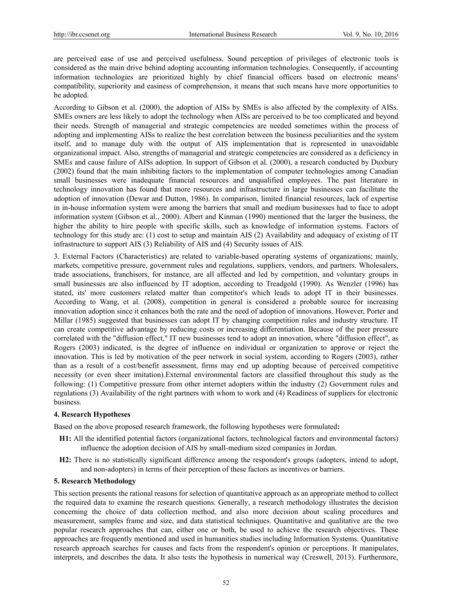are perceived ease of use and perceived usefulness. Sound perception of privileges of electronic tools is considered as the main drive behind adopting accounting information technologies. Consequently, if accounting information technologies are prioritized highly by chief financial officers based on electronic means' compatibility, superiority and easiness of comprehension, it means that such means have more opportunities to be adopted.

According to Gibson et al. (2000), the adoption of AISs by SMEs is also affected by the complexity of AISs. SMEs owners are less likely to adopt the technology when AISs are perceived to be too complicated and beyond their needs. Strength of managerial and strategic competencies are needed sometimes within the process of adopting and implementing AISs to realize the best correlation between the business peculiarities and the system itself, and to manage duly with the output of AIS implementation that is represented in unavoidable organizational impact. Also, strengths of managerial and strategic competencies are considered as a deficiency in SMEs and cause failure of AISs adoption. In support of Gibson et al. (2000), a research conducted by Duxbury (2002) found that the main inhibiting factors to the implementation of computer technologies among Canadian small businesses were inadequate financial resources and unqualified employees. The past literature in technology innovation has found that more resources and infrastructure in large businesses can facilitate the adoption of innovation (Dewar and Dutton, 1986). In comparison, limited financial resources, lack of expertise in in-house information system were among the barriers that small and medium businesses had to face to adopt information system (Gibson et al., 2000). Albert and Kinman (1990) mentioned that the larger the business, the higher the ability to hire people with specific skills, such as knowledge of information systems. Factors of technology for this study are: (1) cost to setup and maintain AIS (2) Availability and adequacy of existing of IT infrastructure to support AIS (3) Reliability of AIS and (4) Security issues of AIS.

3. External Factors (Characteristics) are related to variable-based operating systems of organizations; mainly, markets, competitive pressure, government rules and regulations, suppliers, vendors, and partners. Wholesalers, trade associations, franchisors, for instance, are all affected and led by competition, and voluntary groups in small businesses are also influenced by IT adoption, according to Treadgold (1990). As Wenzler (1996) has stated, its' more customers related matter than competitor's which leads to adopt IT in their businesses. According to Wang, et al. (2008), competition in general is considered a probable source for increasing innovation adoption since it enhances both the rate and the need of adoption of innovations. However, Porter and Millar (1985) suggested that businesses can adopt IT by changing competition rules and industry structure. IT can create competitive advantage by reducing costs or increasing differentiation. Because of the peer pressure correlated with the "diffusion effect," IT new businesses tend to adopt an innovation, where "diffusion effect", as Rogers (2003) indicated, is the degree of influence on individual or organization to approve or reject the innovation. This is led by motivation of the peer network in social system, according to Rogers (2003), rather than as a result of a cost/benefit assessment, firms may end up adopting because of perceived competitive necessity (or even sheer imitation).External environmental factors are classified throughout this study as the following: (1) Competitive pressure from other internet adopters within the industry (2) Government rules and regulations (3) Availability of the right partners with whom to work and (4) Readiness of suppliers for electronic business.

# **4. Research Hypotheses**

Based on the above proposed research framework, the following hypotheses were formulated**:** 

- **H1:** All the identified potential factors (organizational factors, technological factors and environmental factors) influence the adoption decision of AIS by small-medium sized companies in Jordan.
- **H2:** There is no statistically significant difference among the respondent's groups (adopters, intend to adopt, and non-adopters) in terms of their perception of these factors as incentives or barriers.

## **5. Research Methodology**

This section presents the rational reasons for selection of quantitative approach as an appropriate method to collect the required data to examine the research questions. Generally, a research methodology illustrates the decision concerning the choice of data collection method, and also more decision about scaling procedures and measurement, samples frame and size, and data statistical techniques. Quantitative and qualitative are the two popular research approaches that can, either one or both, be used to achieve the research objectives. These approaches are frequently mentioned and used in humanities studies including Information Systems. Quantitative research approach searches for causes and facts from the respondent's opinion or perceptions. It manipulates, interprets, and describes the data. It also tests the hypothesis in numerical way (Creswell, 2013). Furthermore,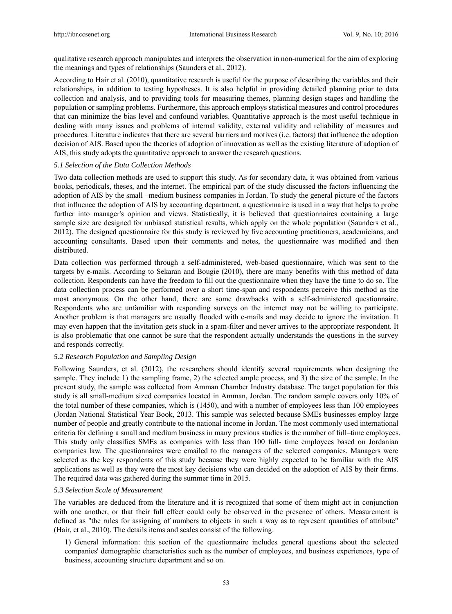qualitative research approach manipulates and interprets the observation in non-numerical for the aim of exploring the meanings and types of relationships (Saunders et al., 2012).

According to Hair et al. (2010), quantitative research is useful for the purpose of describing the variables and their relationships, in addition to testing hypotheses. It is also helpful in providing detailed planning prior to data collection and analysis, and to providing tools for measuring themes, planning design stages and handling the population or sampling problems. Furthermore, this approach employs statistical measures and control procedures that can minimize the bias level and confound variables. Quantitative approach is the most useful technique in dealing with many issues and problems of internal validity, external validity and reliability of measures and procedures. Literature indicates that there are several barriers and motives (i.e. factors) that influence the adoption decision of AIS. Based upon the theories of adoption of innovation as well as the existing literature of adoption of AIS, this study adopts the quantitative approach to answer the research questions.

## *5.1 Selection of the Data Collection Methods*

Two data collection methods are used to support this study. As for secondary data, it was obtained from various books, periodicals, theses, and the internet. The empirical part of the study discussed the factors influencing the adoption of AIS by the small –medium business companies in Jordan. To study the general picture of the factors that influence the adoption of AIS by accounting department, a questionnaire is used in a way that helps to probe further into manager's opinion and views. Statistically, it is believed that questionnaires containing a large sample size are designed for unbiased statistical results, which apply on the whole population (Saunders et al., 2012). The designed questionnaire for this study is reviewed by five accounting practitioners, academicians, and accounting consultants. Based upon their comments and notes, the questionnaire was modified and then distributed.

Data collection was performed through a self-administered, web-based questionnaire, which was sent to the targets by e-mails. According to Sekaran and Bougie (2010), there are many benefits with this method of data collection. Respondents can have the freedom to fill out the questionnaire when they have the time to do so. The data collection process can be performed over a short time-span and respondents perceive this method as the most anonymous. On the other hand, there are some drawbacks with a self-administered questionnaire. Respondents who are unfamiliar with responding surveys on the internet may not be willing to participate. Another problem is that managers are usually flooded with e-mails and may decide to ignore the invitation. It may even happen that the invitation gets stuck in a spam-filter and never arrives to the appropriate respondent. It is also problematic that one cannot be sure that the respondent actually understands the questions in the survey and responds correctly.

# *5.2 Research Population and Sampling Design*

Following Saunders, et al. (2012), the researchers should identify several requirements when designing the sample. They include 1) the sampling frame, 2) the selected ample process, and 3) the size of the sample. In the present study, the sample was collected from Amman Chamber Industry database. The target population for this study is all small-medium sized companies located in Amman, Jordan. The random sample covers only 10% of the total number of these companies, which is (1450), and with a number of employees less than 100 employees (Jordan National Statistical Year Book, 2013. This sample was selected because SMEs businesses employ large number of people and greatly contribute to the national income in Jordan. The most commonly used international criteria for defining a small and medium business in many previous studies is the number of full–time employees. This study only classifies SMEs as companies with less than 100 full- time employees based on Jordanian companies law. The questionnaires were emailed to the managers of the selected companies. Managers were selected as the key respondents of this study because they were highly expected to be familiar with the AIS applications as well as they were the most key decisions who can decided on the adoption of AIS by their firms. The required data was gathered during the summer time in 2015.

#### *5.3 Selection Scale of Measurement*

The variables are deduced from the literature and it is recognized that some of them might act in conjunction with one another, or that their full effect could only be observed in the presence of others. Measurement is defined as "the rules for assigning of numbers to objects in such a way as to represent quantities of attribute" (Hair, et al., 2010). The details items and scales consist of the following:

1) General information: this section of the questionnaire includes general questions about the selected companies' demographic characteristics such as the number of employees, and business experiences, type of business, accounting structure department and so on.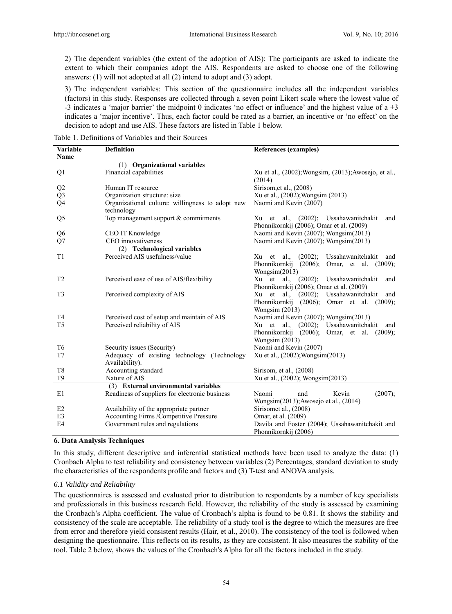2) The dependent variables (the extent of the adoption of AIS): The participants are asked to indicate the extent to which their companies adopt the AIS. Respondents are asked to choose one of the following answers: (1) will not adopted at all (2) intend to adopt and (3) adopt.

3) The independent variables: This section of the questionnaire includes all the independent variables (factors) in this study. Responses are collected through a seven point Likert scale where the lowest value of -3 indicates a 'major barrier' the midpoint 0 indicates 'no effect or influence' and the highest value of a +3 indicates a 'major incentive'. Thus, each factor could be rated as a barrier, an incentive or 'no effect' on the decision to adopt and use AIS. These factors are listed in Table 1 below.

|  |  | Table 1. Definitions of Variables and their Sources |  |  |  |  |  |
|--|--|-----------------------------------------------------|--|--|--|--|--|
|--|--|-----------------------------------------------------|--|--|--|--|--|

| Variable       | <b>Definition</b>                                | References (examples)                                          |
|----------------|--------------------------------------------------|----------------------------------------------------------------|
| Name           |                                                  |                                                                |
|                | (1) Organizational variables                     |                                                                |
| Q1             | Financial capabilities                           | Xu et al., (2002); Wongsim, (2013); Awosejo, et al.,<br>(2014) |
| Q2             | Human IT resource                                | Sirisom, et al., (2008)                                        |
| Q <sub>3</sub> | Organization structure: size                     | Xu et al., (2002); Wongsim (2013)                              |
| Q4             | Organizational culture: willingness to adopt new | Naomi and Kevin (2007)                                         |
|                | technology                                       |                                                                |
| Q <sub>5</sub> | Top management support $&$ commitments           | al., (2002); Ussahawanitchakit<br>Xu et<br>and                 |
|                |                                                  | Phonnikornkij (2006); Omar et al. (2009)                       |
| Q <sub>6</sub> | CEO IT Knowledge                                 | Naomi and Kevin (2007); Wongsim(2013)                          |
| Q7             | CEO innovativeness                               | Naomi and Kevin (2007); Wongsim(2013)                          |
|                | (2) Technological variables                      |                                                                |
| T1             | Perceived AIS usefulness/value                   | (2002);<br>Ussahawanitchakit<br>Xu et al.,<br>and              |
|                |                                                  | Phonnikornkij (2006);<br>Omar, et al. (2009);                  |
|                |                                                  | Wongsim $(2013)$                                               |
| T <sub>2</sub> | Perceived ease of use of AIS/flexibility         | $Xu$ et al., $(2002)$ ;<br>Ussahawanitchakit<br>and            |
|                |                                                  | Phonnikornkij (2006); Omar et al. (2009)                       |
| T <sub>3</sub> | Perceived complexity of AIS                      | Ussahawanitchakit<br>Xu et al., (2002);<br>and                 |
|                |                                                  | Phonnikornkij (2006); Omar et al.<br>$(2009)$ :                |
|                |                                                  | Wongsim $(2013)$                                               |
| T <sub>4</sub> | Perceived cost of setup and maintain of AIS      | Naomi and Kevin (2007); Wongsim(2013)                          |
| T <sub>5</sub> | Perceived reliability of AIS                     | Ussahawanitchakit<br>Xu et al., (2002);<br>and                 |
|                |                                                  | Phonnikornkij (2006); Omar, et al. (2009);                     |
|                |                                                  | Wongsim $(2013)$                                               |
| T <sub>6</sub> | Security issues (Security)                       | Naomi and Kevin (2007)                                         |
| T7             | Adequacy of existing technology (Technology      | Xu et al., (2002); Wongsim(2013)                               |
|                | Availability).                                   |                                                                |
| T <sub>8</sub> | Accounting standard                              | Sirisom, et al., (2008)                                        |
| T <sub>9</sub> | Nature of AIS                                    | Xu et al., (2002); Wongsim(2013)                               |
|                | (3) External environmental variables             |                                                                |
| E1             | Readiness of suppliers for electronic business   | Naomi<br>Kevin<br>(2007);<br>and                               |
|                |                                                  | Wongsim $(2013)$ ; Awosejo et al., $(2014)$                    |
| E2             | Availability of the appropriate partner          | Sirisomet al., (2008)                                          |
| E <sub>3</sub> | Accounting Firms /Competitive Pressure           | Omar, et al. (2009)                                            |
| E <sub>4</sub> | Government rules and regulations                 | Davila and Foster (2004); Ussahawanitchakit and                |
|                |                                                  | Phonnikornkij (2006)                                           |

## **6. Data Analysis Techniques**

In this study, different descriptive and inferential statistical methods have been used to analyze the data: (1) Cronbach Alpha to test reliability and consistency between variables (2) Percentages, standard deviation to study the characteristics of the respondents profile and factors and (3) T-test and ANOVA analysis.

## *6.1 Validity and Reliability*

The questionnaires is assessed and evaluated prior to distribution to respondents by a number of key specialists and professionals in this business research field. However, the reliability of the study is assessed by examining the Cronbach's Alpha coefficient. The value of Cronbach's alpha is found to be 0.81. It shows the stability and consistency of the scale are acceptable. The reliability of a study tool is the degree to which the measures are free from error and therefore yield consistent results (Hair, et al., 2010). The consistency of the tool is followed when designing the questionnaire. This reflects on its results, as they are consistent. It also measures the stability of the tool. Table 2 below, shows the values of the Cronbach's Alpha for all the factors included in the study.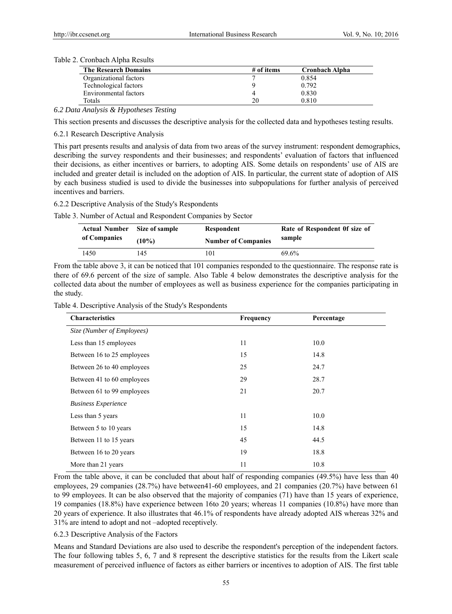# Table 2. Cronbach Alpha Results

| <b>The Research Domains</b> | # of items | Cronbach Alpha |
|-----------------------------|------------|----------------|
| Organizational factors      |            | 0.854          |
| Technological factors       |            | 0.792          |
| Environmental factors       |            | 0.830          |
| Totals                      | 20         | 0.810          |

*6.2 Data Analysis & Hypotheses Testing* 

This section presents and discusses the descriptive analysis for the collected data and hypotheses testing results.

## 6.2.1 Research Descriptive Analysis

This part presents results and analysis of data from two areas of the survey instrument: respondent demographics, describing the survey respondents and their businesses; and respondents' evaluation of factors that influenced their decisions, as either incentives or barriers, to adopting AIS. Some details on respondents' use of AIS are included and greater detail is included on the adoption of AIS. In particular, the current state of adoption of AIS by each business studied is used to divide the businesses into subpopulations for further analysis of perceived incentives and barriers.

6.2.2 Descriptive Analysis of the Study's Respondents

Table 3. Number of Actual and Respondent Companies by Sector

| <b>Actual Number</b> | Size of sample | <b>Respondent</b>          | Rate of Respondent Of size of |  |  |
|----------------------|----------------|----------------------------|-------------------------------|--|--|
| of Companies         | $(10\%)$       | <b>Number of Companies</b> | sample                        |  |  |
| 1450                 | 145            | 01                         | 69.6%                         |  |  |

From the table above 3, it can be noticed that 101 companies responded to the questionnaire. The response rate is there of 69.6 percent of the size of sample. Also Table 4 below demonstrates the descriptive analysis for the collected data about the number of employees as well as business experience for the companies participating in the study.

Table 4. Descriptive Analysis of the Study's Respondents

| <b>Characteristics</b>     | Frequency | Percentage |  |
|----------------------------|-----------|------------|--|
| Size (Number of Employees) |           |            |  |
| Less than 15 employees     | 11        | 10.0       |  |
| Between 16 to 25 employees | 15        | 14.8       |  |
| Between 26 to 40 employees | 25        | 24.7       |  |
| Between 41 to 60 employees | 29        | 28.7       |  |
| Between 61 to 99 employees | 21        | 20.7       |  |
| <b>Business Experience</b> |           |            |  |
| Less than 5 years          | 11        | 10.0       |  |
| Between 5 to 10 years      | 15        | 14.8       |  |
| Between 11 to 15 years     | 45        | 44.5       |  |
| Between 16 to 20 years     | 19        | 18.8       |  |
| More than 21 years         | 11        | 10.8       |  |

From the table above, it can be concluded that about half of responding companies (49.5%) have less than 40 employees, 29 companies (28.7%) have between41-60 employees, and 21 companies (20.7%) have between 61 to 99 employees. It can be also observed that the majority of companies (71) have than 15 years of experience, 19 companies (18.8%) have experience between 16to 20 years; whereas 11 companies (10.8%) have more than 20 years of experience. It also illustrates that 46.1% of respondents have already adopted AIS whereas 32% and 31% are intend to adopt and not –adopted receptively.

## 6.2.3 Descriptive Analysis of the Factors

Means and Standard Deviations are also used to describe the respondent's perception of the independent factors. The four following tables 5, 6, 7 and 8 represent the descriptive statistics for the results from the Likert scale measurement of perceived influence of factors as either barriers or incentives to adoption of AIS. The first table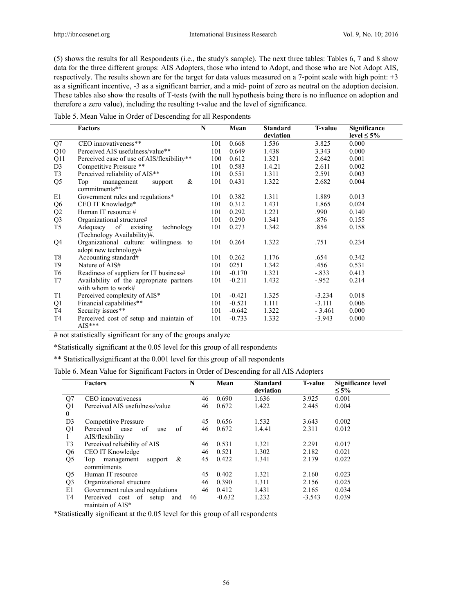(5) shows the results for all Respondents (i.e., the study's sample). The next three tables: Tables 6, 7 and 8 show data for the three different groups: AIS Adopters, those who intend to Adopt, and those who are Not Adopt AIS, respectively. The results shown are for the target for data values measured on a 7-point scale with high point: +3 as a significant incentive, -3 as a significant barrier, and a mid- point of zero as neutral on the adoption decision. These tables also show the results of T-tests (with the null hypothesis being there is no influence on adoption and therefore a zero value), including the resulting t-value and the level of significance.

| Table 5. Mean Value in Order of Descending for all Respondents |
|----------------------------------------------------------------|
|----------------------------------------------------------------|

|                | <b>Factors</b>                             | N   | Mean     | <b>Standard</b> | <b>T-value</b> | Significance     |
|----------------|--------------------------------------------|-----|----------|-----------------|----------------|------------------|
|                |                                            |     |          | deviation       |                | level $\leq 5\%$ |
| Q7             | CEO innovativeness**                       | 101 | 0.668    | 1.536           | 3.825          | 0.000            |
| Q10            | Perceived AIS usefulness/value**           | 101 | 0.649    | 1.438           | 3.343          | 0.000            |
| Q11            | Perceived ease of use of AIS/flexibility** | 100 | 0.612    | 1.321           | 2.642          | 0.001            |
| D <sub>3</sub> | Competitive Pressure **                    | 101 | 0.583    | 1.4.21          | 2.611          | 0.002            |
| T <sub>3</sub> | Perceived reliability of AIS**             | 101 | 0.551    | 1.311           | 2.591          | 0.003            |
| Q <sub>5</sub> | &<br>Top<br>management<br>support          | 101 | 0.431    | 1.322           | 2.682          | 0.004            |
|                | commitments**                              |     |          |                 |                |                  |
| E1             | Government rules and regulations*          | 101 | 0.382    | 1.311           | 1.889          | 0.013            |
| Q <sub>6</sub> | CEO IT Knowledge*                          | 101 | 0.312    | 1.431           | 1.865          | 0.024            |
| Q2             | Human IT resource #                        | 101 | 0.292    | 1.221           | .990           | 0.140            |
| Q <sub>3</sub> | Organizational structure#                  | 101 | 0.290    | 1.341           | .876           | 0.155            |
| T <sub>5</sub> | of existing<br>technology<br>Adequacy      | 101 | 0.273    | 1.342           | .854           | 0.158            |
|                | (Technology Availability)#.                |     |          |                 |                |                  |
| Q4             | Organizational culture: willingness to     | 101 | 0.264    | 1.322           | .751           | 0.234            |
|                | adopt new technology#                      |     |          |                 |                |                  |
| T8             | Accounting standard#                       | 101 | 0.262    | 1.176           | .654           | 0.342            |
| T <sub>9</sub> | Nature of AIS#                             | 101 | 0251     | 1.342           | .456           | 0.531            |
| T <sub>6</sub> | Readiness of suppliers for IT business#    | 101 | $-0.170$ | 1.321           | $-.833$        | 0.413            |
| T7             | Availability of the appropriate partners   | 101 | $-0.211$ | 1.432           | $-952$         | 0.214            |
|                | with whom to work#                         |     |          |                 |                |                  |
| T1             | Perceived complexity of AIS*               | 101 | $-0.421$ | 1.325           | $-3.234$       | 0.018            |
| Q1             | Financial capabilities**                   | 101 | $-0.521$ | 1.111           | $-3.111$       | 0.006            |
| T <sub>4</sub> | Security issues**                          | 101 | $-0.642$ | 1.322           | $-3.461$       | 0.000            |
| T <sub>4</sub> | Perceived cost of setup and maintain of    | 101 | $-0.733$ | 1.332           | $-3.943$       | 0.000            |
|                | $AIS***$                                   |     |          |                 |                |                  |

 $#$  not statistically significant for any of the groups analyze

\*Statistically significant at the 0.05 level for this group of all respondents

\*\* Statisticallysignificant at the 0.001 level for this group of all respondents

Table 6. Mean Value for Significant Factors in Order of Descending for all AIS Adopters

|                | <b>Factors</b>                                           | N  |    | Mean     | <b>Standard</b><br>deviation | <b>T-value</b> | Significance level<br>$\leq 5\%$ |
|----------------|----------------------------------------------------------|----|----|----------|------------------------------|----------------|----------------------------------|
| Q7             | CEO innovativeness                                       |    | 46 | 0.690    | 1.636                        | 3.925          | 0.001                            |
| Q <sub>1</sub> | Perceived AIS usefulness/value                           |    | 46 | 0.672    | 1.422                        | 2.445          | 0.004                            |
| $\mathbf{0}$   |                                                          |    |    |          |                              |                |                                  |
| D <sub>3</sub> | Competitive Pressure                                     |    | 45 | 0.656    | 1.532                        | 3.643          | 0.002                            |
| Q1             | of<br>Perceived<br>of<br>ease<br>use                     |    | 46 | 0.672    | 1.4.41                       | 2.311          | 0.012                            |
| $\mathbf{1}$   | AIS/flexibility                                          |    |    |          |                              |                |                                  |
| T <sub>3</sub> | Perceived reliability of AIS                             |    | 46 | 0.531    | 1.321                        | 2.291          | 0.017                            |
| Q <sub>6</sub> | CEO IT Knowledge                                         |    | 46 | 0.521    | 1.302                        | 2.182          | 0.021                            |
| Q5             | &<br>management<br>Top<br>support                        |    | 45 | 0.422    | 1.341                        | 2.179          | 0.022                            |
|                | commitments                                              |    |    |          |                              |                |                                  |
| Q <sub>5</sub> | Human IT resource                                        |    | 45 | 0.402    | 1.321                        | 2.160          | 0.023                            |
| Q <sub>3</sub> | Organizational structure                                 |    | 46 | 0.390    | 1.311                        | 2.156          | 0.025                            |
| E1             | Government rules and regulations                         |    | 46 | 0.412    | 1.431                        | 2.165          | 0.034                            |
| T4             | of<br>Perceived cost<br>and<br>setup<br>maintain of AIS* | 46 |    | $-0.632$ | 1.232                        | $-3.543$       | 0.039                            |

\*Statistically significant at the 0.05 level for this group of all respondents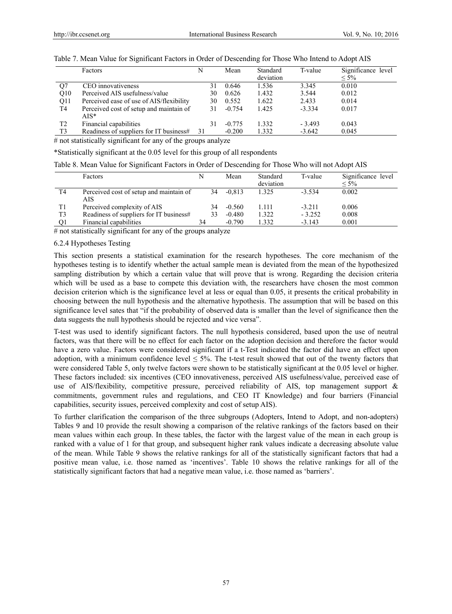|                 | Factors                                            | N  | Mean     | Standard<br>deviation | T-value  | Significance level<br>$\leq 5\%$ |
|-----------------|----------------------------------------------------|----|----------|-----------------------|----------|----------------------------------|
| Q7              | CEO innovativeness                                 | 31 | 0.646    | 1.536                 | 3.345    | 0.010                            |
| O <sub>10</sub> | Perceived AIS usefulness/value                     | 30 | 0.626    | 1.432                 | 3.544    | 0.012                            |
| Q11             | Perceived ease of use of AIS/flexibility           | 30 | 0.552    | 1.622                 | 2.433    | 0.014                            |
| T4              | Perceived cost of setup and maintain of<br>$AIS^*$ | 31 | $-0.754$ | 1.425                 | $-3.334$ | 0.017                            |
| T <sub>2</sub>  | Financial capabilities                             | 31 | $-0.775$ | 1.332                 | $-3.493$ | 0.043                            |
| T3              | Readiness of suppliers for IT business#            | 31 | $-0.200$ | 1.332                 | $-3.642$ | 0.045                            |

| Table 7. Mean Value for Significant Factors in Order of Descending for Those Who Intend to Adopt AIS |  |  |  |  |  |  |
|------------------------------------------------------------------------------------------------------|--|--|--|--|--|--|
|                                                                                                      |  |  |  |  |  |  |

# not statistically significant for any of the groups analyze

\*Statistically significant at the 0.05 level for this group of all respondents

Table 8. Mean Value for Significant Factors in Order of Descending for Those Who will not Adopt AIS

|                | Factors                                        | N  | Mean     | Standard<br>deviation | T-value  | Significance level<br>$\leq 5\%$ |
|----------------|------------------------------------------------|----|----------|-----------------------|----------|----------------------------------|
| T4             | Perceived cost of setup and maintain of<br>AIS | 34 | $-0.813$ | 1.325                 | $-3.534$ | 0.002                            |
| T1             | Perceived complexity of AIS                    | 34 | $-0.560$ | 1.111                 | $-3.211$ | 0.006                            |
| T <sub>3</sub> | Readiness of suppliers for IT business#        | 33 | $-0.480$ | 1.322                 | $-3.252$ | 0.008                            |
| O1             | Financial capabilities                         | 34 | $-0.790$ | 1.332                 | $-3.143$ | 0.001                            |

# not statistically significant for any of the groups analyze

## 6.2.4 Hypotheses Testing

This section presents a statistical examination for the research hypotheses. The core mechanism of the hypotheses testing is to identify whether the actual sample mean is deviated from the mean of the hypothesized sampling distribution by which a certain value that will prove that is wrong. Regarding the decision criteria which will be used as a base to compete this deviation with, the researchers have chosen the most common decision criterion which is the significance level at less or equal than 0.05, it presents the critical probability in choosing between the null hypothesis and the alternative hypothesis. The assumption that will be based on this significance level sates that "if the probability of observed data is smaller than the level of significance then the data suggests the null hypothesis should be rejected and vice versa".

T-test was used to identify significant factors. The null hypothesis considered, based upon the use of neutral factors, was that there will be no effect for each factor on the adoption decision and therefore the factor would have a zero value. Factors were considered significant if a t-Test indicated the factor did have an effect upon adoption, with a minimum confidence level  $\leq$  5%. The t-test result showed that out of the twenty factors that were considered Table 5, only twelve factors were shown to be statistically significant at the 0.05 level or higher. These factors included: six incentives (CEO innovativeness, perceived AIS usefulness/value, perceived ease of use of AIS/flexibility, competitive pressure, perceived reliability of AIS, top management support & commitments, government rules and regulations, and CEO IT Knowledge) and four barriers (Financial capabilities, security issues, perceived complexity and cost of setup AIS).

To further clarification the comparison of the three subgroups (Adopters, Intend to Adopt, and non-adopters) Tables 9 and 10 provide the result showing a comparison of the relative rankings of the factors based on their mean values within each group. In these tables, the factor with the largest value of the mean in each group is ranked with a value of 1 for that group, and subsequent higher rank values indicate a decreasing absolute value of the mean. While Table 9 shows the relative rankings for all of the statistically significant factors that had a positive mean value, i.e. those named as 'incentives'. Table 10 shows the relative rankings for all of the statistically significant factors that had a negative mean value, i.e. those named as 'barriers'.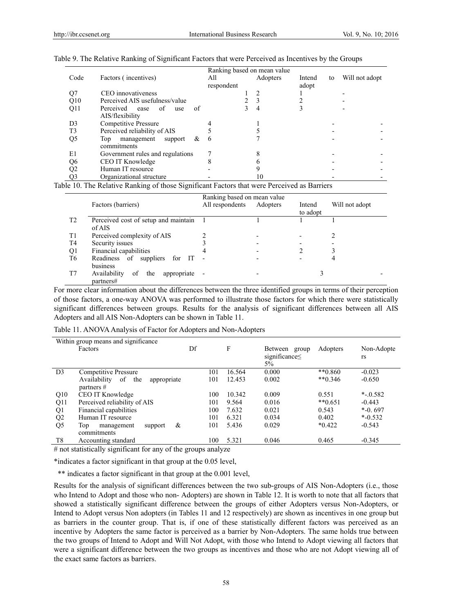|                |                                                         |                   | Ranking based on mean value |                 |    |                |
|----------------|---------------------------------------------------------|-------------------|-----------------------------|-----------------|----|----------------|
| Code           | Factors (incentives)                                    | All<br>respondent | Adopters                    | Intend<br>adopt | to | Will not adopt |
| Q7             | CEO innovativeness                                      |                   | 2                           |                 |    |                |
| Q10            | Perceived AIS usefulness/value                          |                   | 3                           |                 |    |                |
| Q11            | Perceived<br>of<br>of<br>ease<br>use<br>AIS/flexibility |                   | 4                           |                 |    |                |
| D <sub>3</sub> | Competitive Pressure                                    |                   |                             |                 |    |                |
| T3             | Perceived reliability of AIS                            |                   |                             |                 |    |                |
| Q5             | Top<br>management<br>support<br>&<br>commitments        | 6                 |                             |                 |    |                |
| E1             | Government rules and regulations                        |                   |                             |                 |    |                |
| Q6             | CEO IT Knowledge                                        | Λ                 |                             |                 |    |                |
| Q2             | Human IT resource                                       |                   |                             |                 |    |                |
| Q3             | Organizational structure                                |                   |                             |                 |    |                |

# Table 9. The Relative Ranking of Significant Factors that were Perceived as Incentives by the Groups

Table 10. The Relative Ranking of those Significant Factors that were Perceived as Barriers

|    |                                                       | Ranking based on mean value |          |                          |                |  |
|----|-------------------------------------------------------|-----------------------------|----------|--------------------------|----------------|--|
|    | Factors (barriers)                                    | All respondents             | Adopters | Intend<br>to adopt       | Will not adopt |  |
| T2 | Perceived cost of setup and maintain<br>of AIS        |                             |          |                          |                |  |
| T1 | Perceived complexity of AIS                           |                             |          | $\overline{\phantom{0}}$ |                |  |
| T4 | Security issues                                       |                             |          |                          |                |  |
| Q1 | Financial capabilities                                |                             |          |                          |                |  |
| T6 | Readiness of suppliers for IT -<br>business           |                             |          |                          | 4              |  |
| T7 | Availability<br>appropriate<br>the<br>of<br>partners# |                             |          |                          |                |  |

For more clear information about the differences between the three identified groups in terms of their perception of those factors, a one-way ANOVA was performed to illustrate those factors for which there were statistically significant differences between groups. Results for the analysis of significant differences between all AIS Adopters and all AIS Non-Adopters can be shown in Table 11.

|  |  |  |  |  | Table 11. ANOVA Analysis of Factor for Adopters and Non-Adopters |
|--|--|--|--|--|------------------------------------------------------------------|
|--|--|--|--|--|------------------------------------------------------------------|

|                 | Within group means and significance                      |    |     |        |                                            |           |                  |
|-----------------|----------------------------------------------------------|----|-----|--------|--------------------------------------------|-----------|------------------|
|                 | Factors                                                  | Df |     | F      | Between group<br>significance $\leq$<br>5% | Adopters  | Non-Adopte<br>rs |
| D <sub>3</sub>  | <b>Competitive Pressure</b>                              |    | 101 | 16.564 | 0.000                                      | $**0.860$ | $-0.023$         |
|                 | Availability<br>of<br>the<br>appropriate<br>partners $#$ |    | 101 | 12.453 | 0.002                                      | $**0.346$ | $-0.650$         |
| Q10             | CEO IT Knowledge                                         |    | 100 | 10.342 | 0.009                                      | 0.551     | $*$ -0.582       |
| Q <sub>11</sub> | Perceived reliability of AIS                             |    | 101 | 9.564  | 0.016                                      | $**0.651$ | $-0.443$         |
| Q1              | Financial capabilities                                   |    | 100 | 7.632  | 0.021                                      | 0.543     | $*$ -0.697       |
| Q2              | Human IT resource                                        |    | 101 | 6.321  | 0.034                                      | 0.402     | $*$ -0.532       |
| Q5              | &<br>Top<br>management<br>support<br>commitments         |    | 101 | 5.436  | 0.029                                      | $*0.422$  | $-0.543$         |
| T8              | Accounting standard                                      |    | 100 | 5.321  | 0.046                                      | 0.465     | $-0.345$         |
| $\cdots$        | $\sim$                                                   |    |     |        |                                            |           |                  |

# not statistically significant for any of the groups analyze

\*indicates a factor significant in that group at the 0.05 level,

\*\* indicates a factor significant in that group at the 0.001 level,

Results for the analysis of significant differences between the two sub-groups of AIS Non-Adopters (i.e., those who Intend to Adopt and those who non- Adopters) are shown in Table 12. It is worth to note that all factors that showed a statistically significant difference between the groups of either Adopters versus Non-Adopters, or Intend to Adopt versus Non adopters (in Tables 11 and 12 respectively) are shown as incentives in one group but as barriers in the counter group. That is, if one of these statistically different factors was perceived as an incentive by Adopters the same factor is perceived as a barrier by Non-Adopters. The same holds true between the two groups of Intend to Adopt and Will Not Adopt, with those who Intend to Adopt viewing all factors that were a significant difference between the two groups as incentives and those who are not Adopt viewing all of the exact same factors as barriers.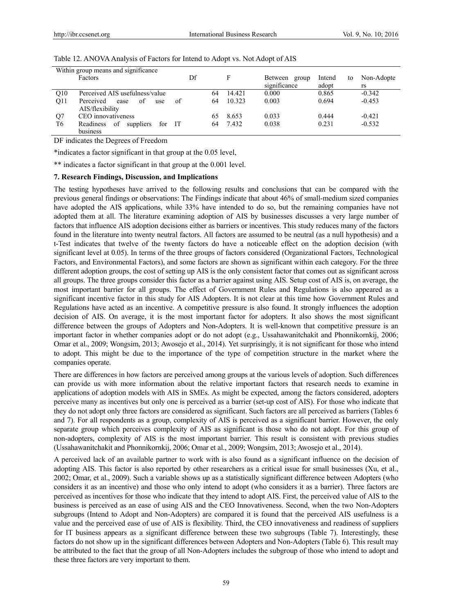|                | Within group means and significance         |    |    |        |                  |              |            |
|----------------|---------------------------------------------|----|----|--------|------------------|--------------|------------|
|                | Factors                                     | Df |    | F      | Between<br>group | Intend<br>to | Non-Adopte |
|                |                                             |    |    |        | significance     | adopt        | rs         |
| Q10            | Perceived AIS usefulness/value              |    | 64 | 14.421 | 0.000            | 0.865        | $-0.342$   |
| O11            | of<br>Perceived<br>of<br>ease<br>use        |    | 64 | 10.323 | 0.003            | 0.694        | $-0.453$   |
|                | AIS/flexibility                             |    |    |        |                  |              |            |
| Q7             | CEO innovativeness                          |    | 65 | 8.653  | 0.033            | 0.444        | $-0.421$   |
| T <sub>6</sub> | of<br>suppliers<br>- 17<br>Readiness<br>for |    | 64 | 7.432  | 0.038            | 0.231        | $-0.532$   |
|                | business                                    |    |    |        |                  |              |            |

### Table 12. ANOVA Analysis of Factors for Intend to Adopt vs. Not Adopt of AIS

DF indicates the Degrees of Freedom

\*indicates a factor significant in that group at the 0.05 level,

\*\* indicates a factor significant in that group at the 0.001 level.

## **7. Research Findings, Discussion, and Implications**

The testing hypotheses have arrived to the following results and conclusions that can be compared with the previous general findings or observations: The Findings indicate that about 46% of small-medium sized companies have adopted the AIS applications, while 33% have intended to do so, but the remaining companies have not adopted them at all. The literature examining adoption of AIS by businesses discusses a very large number of factors that influence AIS adoption decisions either as barriers or incentives. This study reduces many of the factors found in the literature into twenty neutral factors. All factors are assumed to be neutral (as a null hypothesis) and a t-Test indicates that twelve of the twenty factors do have a noticeable effect on the adoption decision (with significant level at 0.05). In terms of the three groups of factors considered (Organizational Factors, Technological Factors, and Environmental Factors), and some factors are shown as significant within each category. For the three different adoption groups, the cost of setting up AIS is the only consistent factor that comes out as significant across all groups. The three groups consider this factor as a barrier against using AIS. Setup cost of AIS is, on average, the most important barrier for all groups. The effect of Government Rules and Regulations is also appeared as a significant incentive factor in this study for AIS Adopters. It is not clear at this time how Government Rules and Regulations have acted as an incentive. A competitive pressure is also found. It strongly influences the adoption decision of AIS. On average, it is the most important factor for adopters. It also shows the most significant difference between the groups of Adopters and Non-Adopters. It is well-known that competitive pressure is an important factor in whether companies adopt or do not adopt (e.g., Ussahawanitchakit and Phonnikornkij, 2006; Omar et al., 2009; Wongsim, 2013; Awosejo et al., 2014). Yet surprisingly, it is not significant for those who intend to adopt. This might be due to the importance of the type of competition structure in the market where the companies operate.

There are differences in how factors are perceived among groups at the various levels of adoption. Such differences can provide us with more information about the relative important factors that research needs to examine in applications of adoption models with AIS in SMEs. As might be expected, among the factors considered, adopters perceive many as incentives but only one is perceived as a barrier (set-up cost of AIS). For those who indicate that they do not adopt only three factors are considered as significant. Such factors are all perceived as barriers (Tables 6 and 7). For all respondents as a group, complexity of AIS is perceived as a significant barrier. However, the only separate group which perceives complexity of AIS as significant is those who do not adopt. For this group of non-adopters, complexity of AIS is the most important barrier. This result is consistent with previous studies (Ussahawanitchakit and Phonnikornkij, 2006; Omar et al., 2009; Wongsim, 2013; Awosejo et al., 2014).

A perceived lack of an available partner to work with is also found as a significant influence on the decision of adopting AIS. This factor is also reported by other researchers as a critical issue for small businesses (Xu, et al., 2002; Omar, et al., 2009). Such a variable shows up as a statistically significant difference between Adopters (who considers it as an incentive) and those who only intend to adopt (who considers it as a barrier). Three factors are perceived as incentives for those who indicate that they intend to adopt AIS. First, the perceived value of AIS to the business is perceived as an ease of using AIS and the CEO Innovativeness. Second, when the two Non-Adopters subgroups (Intend to Adopt and Non-Adopters) are compared it is found that the perceived AIS usefulness is a value and the perceived ease of use of AIS is flexibility. Third, the CEO innovativeness and readiness of suppliers for IT business appears as a significant difference between these two subgroups (Table 7). Interestingly, these factors do not show up in the significant differences between Adopters and Non-Adopters (Table 6). This result may be attributed to the fact that the group of all Non-Adopters includes the subgroup of those who intend to adopt and these three factors are very important to them.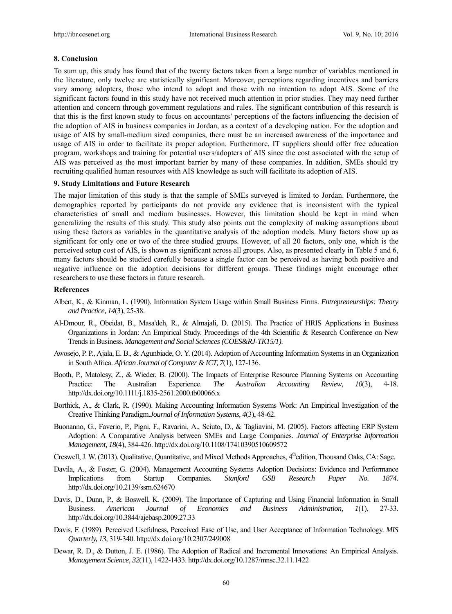## **8. Conclusion**

To sum up, this study has found that of the twenty factors taken from a large number of variables mentioned in the literature, only twelve are statistically significant. Moreover, perceptions regarding incentives and barriers vary among adopters, those who intend to adopt and those with no intention to adopt AIS. Some of the significant factors found in this study have not received much attention in prior studies. They may need further attention and concern through government regulations and rules. The significant contribution of this research is that this is the first known study to focus on accountants' perceptions of the factors influencing the decision of the adoption of AIS in business companies in Jordan, as a context of a developing nation. For the adoption and usage of AIS by small-medium sized companies, there must be an increased awareness of the importance and usage of AIS in order to facilitate its proper adoption. Furthermore, IT suppliers should offer free education program, workshops and training for potential users/adopters of AIS since the cost associated with the setup of AIS was perceived as the most important barrier by many of these companies. In addition, SMEs should try recruiting qualified human resources with AIS knowledge as such will facilitate its adoption of AIS.

## **9. Study Limitations and Future Research**

The major limitation of this study is that the sample of SMEs surveyed is limited to Jordan. Furthermore, the demographics reported by participants do not provide any evidence that is inconsistent with the typical characteristics of small and medium businesses. However, this limitation should be kept in mind when generalizing the results of this study. This study also points out the complexity of making assumptions about using these factors as variables in the quantitative analysis of the adoption models. Many factors show up as significant for only one or two of the three studied groups. However, of all 20 factors, only one, which is the perceived setup cost of AIS, is shown as significant across all groups. Also, as presented clearly in Table 5 and 6, many factors should be studied carefully because a single factor can be perceived as having both positive and negative influence on the adoption decisions for different groups. These findings might encourage other researchers to use these factors in future research.

## **References**

- Albert, K., & Kinman, L. (1990). Information System Usage within Small Business Firms. *Entrepreneurships: Theory and Practice, 14*(3), 25-38.
- Al-Dmour, R., Obeidat, B., Masa'deh, R., & Almajali, D. (2015). The Practice of HRIS Applications in Business Organizations in Jordan: An Empirical Study. Proceedings of the 4th Scientific & Research Conference on New Trends in Business. *Management and Social Sciences (COES&RJ-TK15/1)*.
- Awosejo, P. P., Ajala, E. B., & Agunbiade, O. Y. (2014). Adoption of Accounting Information Systems in an Organization in South Africa. *African Journal of Computer & ICT, 7*(1), 127-136.
- Booth, P., Matolcsy, Z., & Wieder, B. (2000). The Impacts of Enterprise Resource Planning Systems on Accounting Practice: The Australian Experience. *The Australian Accounting Review, 10*(3), 4-18. http://dx.doi.org/10.1111/j.1835-2561.2000.tb00066.x
- Borthick, A., & Clark, R. (1990). Making Accounting Information Systems Work: An Empirical Investigation of the Creative Thinking Paradigm.*Journal of Information Systems, 4*(3), 48-62.
- Buonanno, G., Faverio, P., Pigni, F., Ravarini, A., Sciuto, D., & Tagliavini, M. (2005). Factors affecting ERP System Adoption: A Comparative Analysis between SMEs and Large Companies. *Journal of Enterprise Information Management, 18*(4), 384-426. http://dx.doi.org/10.1108/17410390510609572
- Creswell, J. W. (2013). Qualitative, Quantitative, and Mixed Methods Approaches,  $4<sup>th</sup>$ edition, Thousand Oaks, CA: Sage.
- Davila, A., & Foster, G. (2004). Management Accounting Systems Adoption Decisions: Evidence and Performance Implications from Startup Companies. *Stanford GSB Research Paper No. 1874.*  http://dx.doi.org/10.2139/ssrn.624670
- Davis, D., Dunn, P., & Boswell, K. (2009). The Importance of Capturing and Using Financial Information in Small Business. *American Journal of Economics and Business Administration, 1*(1), 27-33. http://dx.doi.org/10.3844/ajebasp.2009.27.33
- Davis, F. (1989). Perceived Usefulness, Perceived Ease of Use, and User Acceptance of Information Technology. *MIS Quarterly, 13,* 319-340. http://dx.doi.org/10.2307/249008
- Dewar, R. D., & Dutton, J. E. (1986). The Adoption of Radical and Incremental Innovations: An Empirical Analysis. *Management Science, 32*(11), 1422-1433. http://dx.doi.org/10.1287/mnsc.32.11.1422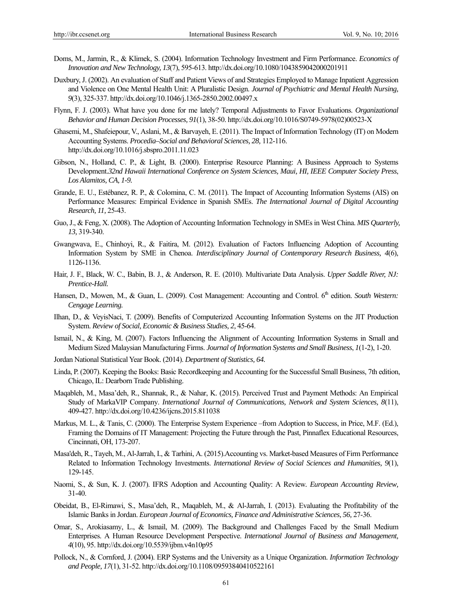- Doms, M., Jarmin, R., & Klimek, S. (2004). Information Technology Investment and Firm Performance. *Economics of Innovation and New Technology, 13*(7), 595-613. http://dx.doi.org/10.1080/1043859042000201911
- Duxbury, J. (2002). An evaluation of Staff and Patient Views of and Strategies Employed to Manage Inpatient Aggression and Violence on One Mental Health Unit: A Pluralistic Design. *Journal of Psychiatric and Mental Health Nursing, 9*(3), 325-337. http://dx.doi.org/10.1046/j.1365-2850.2002.00497.x
- Flynn, F. J. (2003). What have you done for me lately? Temporal Adjustments to Favor Evaluations. *Organizational Behavior and Human Decision Processes, 91*(1), 38-50. http://dx.doi.org/10.1016/S0749-5978(02)00523-X
- Ghasemi, M., Shafeiepour, V., Aslani, M., & Barvayeh, E. (2011). The Impact of Information Technology (IT) on Modern Accounting Systems. *Procedia–Social and Behavioral Sciences, 28,* 112-116. http://dx.doi.org/10.1016/j.sbspro.2011.11.023
- Gibson, N., Holland, C. P., & Light, B. (2000). Enterprise Resource Planning: A Business Approach to Systems Development.*32nd Hawaii International Conference on System Sciences, Maui, HI, IEEE Computer Society Press*, *Los Alamitos, CA, 1-9.*
- Grande, E. U., Estébanez, R. P., & Colomina, C. M. (2011). The Impact of Accounting Information Systems (AIS) on Performance Measures: Empirical Evidence in Spanish SMEs. *The International Journal of Digital Accounting Research, 11,* 25-43.
- Guo, J., & Feng, X. (2008). The Adoption of Accounting Information Technology in SMEs in West China. *MIS Quarterly, 13,* 319-340.
- Gwangwava, E., Chinhoyi, R., & Faitira, M. (2012). Evaluation of Factors Influencing Adoption of Accounting Information System by SME in Chenoa. *Interdisciplinary Journal of Contemporary Research Business, 4*(6), 1126-1136.
- Hair, J. F., Black, W. C., Babin, B. J., & Anderson, R. E. (2010). Multivariate Data Analysis. *Upper Saddle River, NJ: Prentice-Hall.*
- Hansen, D., Mowen, M., & Guan, L. (2009). Cost Management: Accounting and Control. 6<sup>th</sup> edition. *South Western: Cengage Learning.*
- Ilhan, D., & VeyisNaci, T. (2009). Benefits of Computerized Accounting Information Systems on the JIT Production System. *Review of Social, Economic & Business Studies, 2,* 45-64.
- Ismail, N., & King, M. (2007). Factors Influencing the Alignment of Accounting Information Systems in Small and Medium Sized Malaysian Manufacturing Firms. *Journal of Information Systems and Small Business*, *1*(1-2), 1-20.
- Jordan National Statistical Year Book. (2014). *Department of Statistics, 64.*
- Linda, P. (2007). Keeping the Books: Basic Recordkeeping and Accounting for the Successful Small Business, 7th edition, Chicago, IL: Dearborn Trade Publishing.
- Maqableh, M., Masa'deh, R., Shannak, R., & Nahar, K. (2015). Perceived Trust and Payment Methods: An Empirical Study of MarkaVIP Company. *International Journal of Communications, Network and System Sciences, 8*(11), 409-427. http://dx.doi.org/10.4236/ijcns.2015.811038
- Markus, M. L., & Tanis, C. (2000). The Enterprise System Experience –from Adoption to Success, in Price, M.F. (Ed.), Framing the Domains of IT Management: Projecting the Future through the Past, Pinnaflex Educational Resources, Cincinnati, OH, 173-207.
- Masa'deh, R., Tayeh, M., Al-Jarrah, I., & Tarhini, A. (2015).Accounting vs. Market-based Measures of Firm Performance Related to Information Technology Investments. *International Review of Social Sciences and Humanities, 9*(1), 129-145.
- Naomi, S., & Sun, K. J. (2007). IFRS Adoption and Accounting Quality: A Review*. European Accounting Review,* 31-40.
- Obeidat, B., El-Rimawi, S., Masa'deh, R., Maqableh, M., & Al-Jarrah, I. (2013). Evaluating the Profitability of the Islamic Banks in Jordan. *European Journal of Economics, Finance and Administrative Sciences, 56, 27-36.*
- Omar, S., Arokiasamy, L., & Ismail, M. (2009). The Background and Challenges Faced by the Small Medium Enterprises. A Human Resource Development Perspective. *International Journal of Business and Management, 4*(10), 95. http://dx.doi.org/10.5539/ijbm.v4n10p95
- Pollock, N., & Cornford, J. (2004). ERP Systems and the University as a Unique Organization. *Information Technology and People, 17*(1), 31-52. http://dx.doi.org/10.1108/09593840410522161